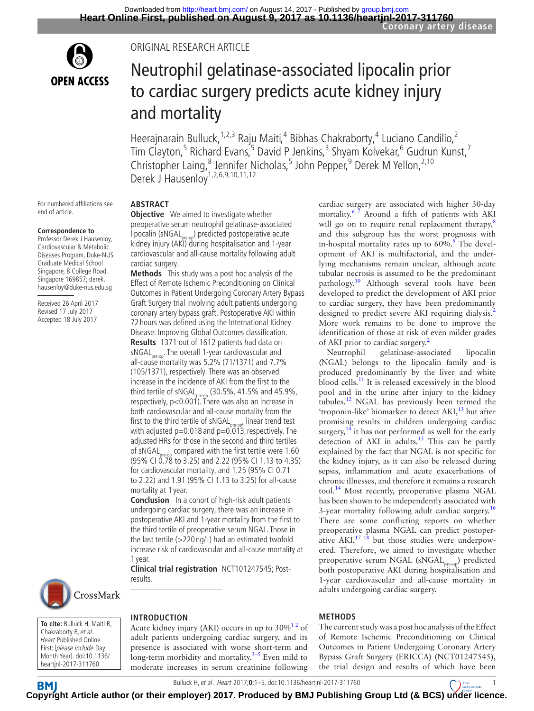

# Original research article

# Neutrophil gelatinase-associated lipocalin prior to cardiac surgery predicts acute kidney injury and mortality

Heerajnarain Bulluck,<sup>1,2,3</sup> Raju Maiti,<sup>4</sup> Bibhas Chakraborty,<sup>4</sup> Luciano Candilio,<sup>2</sup> Tim Clayton,<sup>5</sup> Richard Evans,<sup>5</sup> David P Jenkins,<sup>3</sup> Shyam Kolvekar,<sup>6</sup> Gudrun Kunst,<sup>7</sup> Christopher Laing,<sup>8</sup> Jennifer Nicholas,<sup>5</sup> John Pepper,<sup>9</sup> Derek M Yellon,<sup>2,10</sup> Derek J Hausenloy<sup>1,2,6,9,10,11,12</sup>

For numbered affiliations see end of article.

#### **Correspondence to**

Professor Derek J Hausenloy, Cardiovascular & Metabolic Diseases Program, Duke-NUS Graduate Medical School Singapore, 8 College Road. Singapore 169857; derek. hausenloy@duke-nus.edu.sg

Received 26 April 2017 Revised 17 July 2017 Accepted 18 July 2017

**Abstract**

**Objective** We aimed to investigate whether preoperative serum neutrophil gelatinase-associated lipocalin (sNGAL $_{pre-on}$ ) predicted postoperative acute kidney injury (AKI) during hospitalisation and 1-year cardiovascular and all-cause mortality following adult cardiac surgery.

**Methods** This study was a post hoc analysis of the Effect of Remote Ischemic Preconditioning on Clinical Outcomes in Patient Undergoing Coronary Artery Bypass Graft Surgery trial involving adult patients undergoing coronary artery bypass graft. Postoperative AKI within 72 hours was defined using the International Kidney Disease: Improving Global Outcomes classification.

**Results** 1371 out of 1612 patients had data on sNGAL<sub>pre-op</sub>. The overall 1-year cardiovascular and all-cause mortality was 5.2% (71/1371) and 7.7% (105/1371), respectively. There was an observed increase in the incidence of AKI from the first to the third tertile of sNGAL<sub>pre-op</sub> (30.5%, 41.5% and 45.9%, respectively, p<0.001). There was also an increase in both cardiovascular and all-cause mortality from the first to the third tertile of sNGAL<sub>pre-op</sub>, linear trend test with adjusted p=0.018 and p=0.013,respectively. The adjusted HRs for those in the second and third tertiles of sNGAL<sub>pre-op</sub> compared with the first tertile were 1.60 (95% CI 0.78 to 3.25) and 2.22 (95% CI 1.13 to 4.35) for cardiovascular mortality, and 1.25 (95% CI 0.71 to 2.22) and 1.91 (95% CI 1.13 to 3.25) for all-cause mortality at 1 year.

**Conclusion** In a cohort of high-risk adult patients undergoing cardiac surgery, there was an increase in postoperative AKI and 1-year mortality from the first to the third tertile of preoperative serum NGAL. Those in the last tertile (>220 ng/L) had an estimated twofold increase risk of cardiovascular and all-cause mortality at 1 year.

**Clinical trial registration** NCT101247545; Postresults.



**To cite:** Bulluck H, Maiti R, Chakraborty B, et al. Heart Published Online First: [please include Day Month Year]. doi:10.1136/ heartjnl-2017-311760

# **Introduction**

Acute kidney injury (AKI) occurs in up to  $30\%$ <sup>12</sup> of adult patients undergoing cardiac surgery, and its presence is associated with worse short-term and long-term morbidity and mortality. $3-5$  Even mild to moderate increases in serum creatinine following

cardiac surgery are associated with higher 30-day mortality.<sup>67</sup> Around a fifth of patients with AKI will go on to require renal replacement therapy, ${}^{8}$  ${}^{8}$  ${}^{8}$ and this subgroup has the worst prognosis with in-hospital mortality rates up to 60%.<sup>[9](#page-4-4)</sup> The development of AKI is multifactorial, and the underlying mechanisms remain unclear, although acute tubular necrosis is assumed to be the predominant pathology.[10](#page-4-5) Although several tools have been developed to predict the development of AKI prior to cardiac surgery, they have been predominantly designed to predict severe AKI requiring dialysis.<sup>[2](#page-4-6)</sup> More work remains to be done to improve the identification of those at risk of even milder grades of AKI prior to cardiac surgery.<sup>2</sup>

Neutrophil gelatinase-associated lipocalin (NGAL) belongs to the lipocalin family and is produced predominantly by the liver and white blood cells. $11$  It is released excessively in the blood pool and in the urine after injury to the kidney tubules.<sup>[12](#page-4-8)</sup> NGAL has previously been termed the 'troponin-like' biomarker to detect  $AKI<sub>1</sub><sup>13</sup>$  but after promising results in children undergoing cardiac surgery, $14$  it has not performed as well for the early detection of AKI in adults.<sup>15</sup> This can be partly explained by the fact that NGAL is not specific for the kidney injury, as it can also be released during sepsis, inflammation and acute exacerbations of chronic illnesses, and therefore it remains a research tool.<sup>[14](#page-4-10)</sup> Most recently, preoperative plasma NGAL has been shown to be independently associated with 3-year mortality following adult cardiac surgery.<sup>[16](#page-4-12)</sup> There are some conflicting reports on whether preoperative plasma NGAL can predict postoperative  $AKI<sub>1</sub><sup>17</sup>$  but those studies were underpowered. Therefore, we aimed to investigate whether preoperative serum NGAL (sNGAL<sub>pre-op</sub>) predicted both postoperative AKI during hospitalisation and 1-year cardiovascular and all-cause mortality in adults undergoing cardiac surgery.

#### **Methods**

The current study was a post hoc analysis of the Effect of Remote Ischemic Preconditioning on Clinical Outcomes in Patient Undergoing Coronary Artery Bypass Graft Surgery (ERICCA) (NCT01247545), the trial design and results of which have been

Bulluck H, et al. Heart 2017;**0**:1–5. doi:10.1136/heartjnl-2017-3117601

**BMI C[opyrig](http://heart.bmj.com/)ht Article author (or their employer) 2017. Produced by BMJ Publishing Group Ltd (& BCS) under licence.**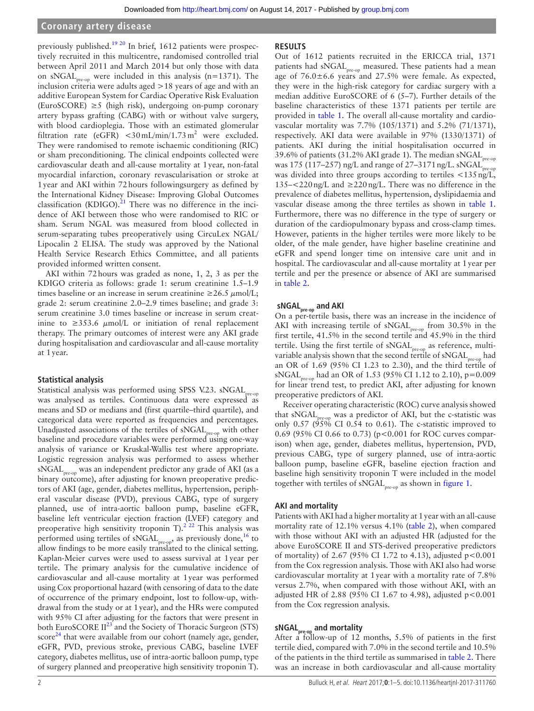#### **Coronary artery disease**

previously published.<sup>19 20</sup> In brief, 1612 patients were prospectively recruited in this multicentre, randomised controlled trial between April 2011 and March 2014 but only those with data on sNGAL<sub>pre-op</sub> were included in this analysis (n=1371). The inclusion criteria were adults aged >18 years of age and with an additive European System for Cardiac Operative Risk Evaluation (EuroSCORE)  $\geq$ 5 (high risk), undergoing on-pump coronary artery bypass grafting (CABG) with or without valve surgery, with blood cardioplegia. Those with an estimated glomerular filtration rate (eGFR)  $\langle 30 \text{ mL/min}/1.73 \text{ m}^2$  were excluded. They were randomised to remote ischaemic conditioning (RIC) or sham preconditioning. The clinical endpoints collected were cardiovascular death and all-cause mortality at 1year, non-fatal myocardial infarction, coronary revascularisation or stroke at 1year and AKI within 72hours followingsurgery as defined by the International Kidney Disease: Improving Global Outcomes classification (KDIGO). $^{21}$  There was no difference in the incidence of AKI between those who were randomised to RIC or sham. Serum NGAL was measured from blood collected in serum-separating tubes preoperatively using CircuLex NGAL/ Lipocalin 2 ELISA. The study was approved by the National Health Service Research Ethics Committee, and all patients provided informed written consent.

AKI within 72hours was graded as none, 1, 2, 3 as per the KDIGO criteria as follows: grade 1: serum creatinine 1.5–1.9 times baseline or an increase in serum creatinine  $\geq 26.5 \mu$ mol/L; grade 2: serum creatinine 2.0–2.9 times baseline; and grade 3: serum creatinine 3.0 times baseline or increase in serum creatinine to  $\geq$ 353.6  $\mu$ mol/L or initiation of renal replacement therapy. The primary outcomes of interest were any AKI grade during hospitalisation and cardiovascular and all-cause mortality at 1year.

#### **Statistical analysis**

Statistical analysis was performed using SPSS V.23. sNGAL<sub>pre-op</sub> was analysed as tertiles. Continuous data were expressed as means and SD or medians and (first quartile–third quartile), and categorical data were reported as frequencies and percentages. Unadjusted associations of the tertiles of  $sNGAL_{pre-op}$  with other baseline and procedure variables were performed using one-way analysis of variance or Kruskal-Wallis test where appropriate. Logistic regression analysis was performed to assess whether sNGAL<sub>pre-op</sub> was an independent predictor any grade of AKI (as a binary outcome), after adjusting for known preoperative predictors of AKI (age, gender, diabetes mellitus, hypertension, peripheral vascular disease (PVD), previous CABG, type of surgery planned, use of intra-aortic balloon pump, baseline eGFR, baseline left ventricular ejection fraction (LVEF) category and preoperative high sensitivity troponin T).<sup>[2 22](#page-4-6)</sup> This analysis was performed using tertiles of  $sNGAL_{pre-op}$ , as previously done,<sup>16</sup> to allow findings to be more easily translated to the clinical setting. Kaplan-Meier curves were used to assess survival at 1year per tertile. The primary analysis for the cumulative incidence of cardiovascular and all-cause mortality at 1year was performed using Cox proportional hazard (with censoring of data to the date of occurrence of the primary endpoint, lost to follow-up, withdrawal from the study or at 1year), and the HRs were computed with 95% CI after adjusting for the factors that were present in both EuroSCORE II<sup>[23](#page-4-16)</sup> and the Society of Thoracic Surgeon (STS) score<sup>[24](#page-4-17)</sup> that were available from our cohort (namely age, gender, eGFR, PVD, previous stroke, previous CABG, baseline LVEF category, diabetes mellitus, use of intra-aortic balloon pump, type of surgery planned and preoperative high sensitivity troponin T).

#### **Results**

Out of 1612 patients recruited in the ERICCA trial, 1371 patients had sNGAL<sub>pre-op</sub> measured. These patients had a mean age of  $76.0 \pm 6.6$  years and 27.5% were female. As expected, they were in the high-risk category for cardiac surgery with a median additive EuroSCORE of 6 (5–7). Further details of the baseline characteristics of these 1371 patients per tertile are provided in [table](#page-2-0) 1. The overall all-cause mortality and cardiovascular mortality was 7.7% (105/1371) and 5.2% (71/1371), respectively. AKI data were available in 97% (1330/1371) of patients. AKI during the initial hospitalisation occurred in 39.6% of patients (31.2% AKI grade 1). The median sNGAL pre-op was 175 (117–257) ng/L and range of 27–3171 ng/L. sNGAL $_{\rm pr}^{+}$ was divided into three groups according to tertiles <135 ng/L,  $135 - \langle 220 \text{ ng/L} \rangle$  and  $\geq 220 \text{ ng/L}$ . There was no difference in the prevalence of diabetes mellitus, hypertension, dyslipidaemia and vascular disease among the three tertiles as shown in [table](#page-2-0) 1. Furthermore, there was no difference in the type of surgery or duration of the cardiopulmonary bypass and cross-clamp times. However, patients in the higher tertiles were more likely to be older, of the male gender, have higher baseline creatinine and eGFR and spend longer time on intensive care unit and in hospital. The cardiovascular and all-cause mortality at 1year per tertile and per the presence or absence of AKI are summarised in [table](#page-2-1) 2.

# sNGAL<sub>pre-op</sub> and AKI

On a per-tertile basis, there was an increase in the incidence of AKI with increasing tertile of  $sNGAL_{pre-op}$  from 30.5% in the first tertile, 41.5% in the second tertile and 45.9% in the third tertile. Using the first tertile of  $\mathrm{sNGAL}_{\mathrm{pre-op}}$  as reference, multivariable analysis shown that the second tertile of sNGAL $_{\rm pre\text{-}op}$  had an OR of 1.69 (95% CI 1.23 to 2.30), and the third tertile of sNGAL<sub>pre-op</sub> had an OR of 1.53 (95% CI 1.12 to 2.10), p=0.009 for linear trend test, to predict AKI, after adjusting for known preoperative predictors of AKI.

Receiver operating characteristic (ROC) curve analysis showed that  $sNGAL_{n}$  was a predictor of AKI, but the c-statistic was only 0.57 ( $95\%$  CI 0.54 to 0.61). The c-statistic improved to 0.69 (95% CI 0.66 to 0.73) (p<0.001 for ROC curves comparison) when age, gender, diabetes mellitus, hypertension, PVD, previous CABG, type of surgery planned, use of intra-aortic balloon pump, baseline eGFR, baseline ejection fraction and baseline high sensitivity troponin T were included in the model together with tertiles of  $sNGAL<sub>pre-op</sub>$  as shown in [figure](#page-3-0) 1.

#### **AKI and mortality**

Patients with AKI had a higher mortality at 1year with an all-cause mortality rate of 12.1% versus 4.1% ([table](#page-2-1) 2), when compared with those without AKI with an adjusted HR (adjusted for the above EuroSCORE II and STS-derived preoperative predictors of mortality) of 2.67 (95% CI 1.72 to 4.13), adjusted p<0.001 from the Cox regression analysis. Those with AKI also had worse cardiovascular mortality at 1year with a mortality rate of 7.8% versus 2.7%, when compared with those without AKI, with an adjusted HR of 2.88 (95% CI 1.67 to 4.98), adjusted p<0.001 from the Cox regression analysis.

# **sNGALpre-op and mortality**

After a follow-up of 12 months, 5.5% of patients in the first tertile died, compared with 7.0% in the second tertile and 10.5% of the patients in the third tertile as summarised in [table](#page-2-1) 2. There was an increase in both cardiovascular and all-cause mortality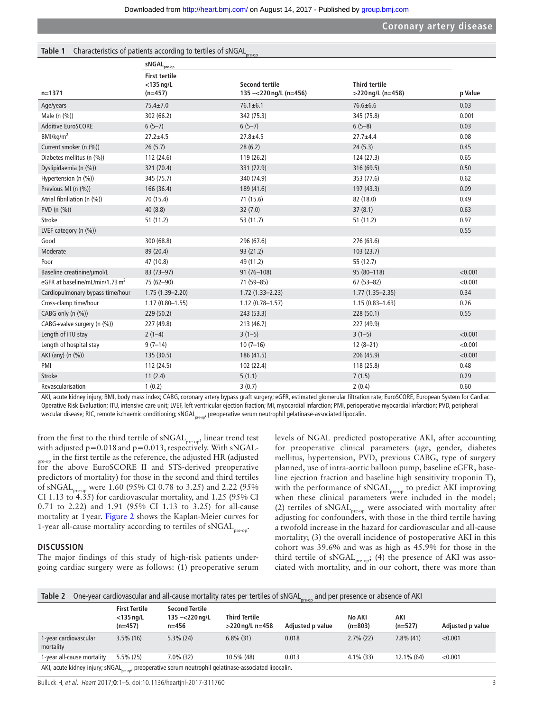<span id="page-2-0"></span>

| Table 1 Characteristics of patients according to tertiles of sNGAL <sub>pre-op</sub> |
|--------------------------------------------------------------------------------------|
|--------------------------------------------------------------------------------------|

|                                                           | $sNGALpre-op$                                     |                                                  |                                           |                        |
|-----------------------------------------------------------|---------------------------------------------------|--------------------------------------------------|-------------------------------------------|------------------------|
| $n = 1371$                                                | <b>First tertile</b><br>$<$ 135 ng/L<br>$(n=457)$ | <b>Second tertile</b><br>135 -< 220 ng/L (n=456) | <b>Third tertile</b><br>>220 ng/L (n=458) | p Value                |
| Age/years                                                 | $75.4 \pm 7.0$                                    | $76.1 \pm 6.1$                                   | $76.6 \pm 6.6$                            | 0.03                   |
| Male (n (%))                                              | 302 (66.2)                                        | 342 (75.3)                                       | 345 (75.8)                                | 0.001                  |
| Additive EuroSCORE                                        | $6(5-7)$                                          | $6(5-7)$                                         | $6(5-8)$                                  | 0.03                   |
| BMI/kg/m <sup>2</sup>                                     | $27.2 + 4.5$                                      | $27.8 + 4.5$                                     | $27.7 + 4.4$                              | 0.08                   |
| Current smoker (n (%))                                    | 26(5.7)                                           | 28(6.2)                                          | 24(5.3)                                   | 0.45                   |
| Diabetes mellitus (n (%))                                 | 112 (24.6)                                        | 119 (26.2)                                       | 124 (27.3)                                | 0.65                   |
| Dyslipidaemia (n (%))                                     | 321 (70.4)                                        | 331 (72.9)                                       | 316 (69.5)                                | 0.50                   |
| Hypertension (n (%))                                      | 345 (75.7)                                        | 340 (74.9)                                       | 353 (77.6)                                | 0.62                   |
| Previous MI (n (%))                                       | 166 (36.4)                                        | 189 (41.6)                                       | 197 (43.3)                                | 0.09                   |
| Atrial fibrillation (n (%))                               | 70 (15.4)                                         | 71 (15.6)                                        | 82 (18.0)                                 | 0.49                   |
| PVD $(n (%))$                                             | 40(8.8)                                           | 32(7.0)                                          | 37(8.1)                                   | 0.63                   |
| Stroke                                                    | 51 (11.2)                                         | 53 (11.7)                                        | 51 (11.2)                                 | 0.97                   |
| LVEF category $(n \, (%))$                                |                                                   |                                                  |                                           | 0.55                   |
| Good                                                      | 300 (68.8)                                        | 296 (67.6)                                       | 276 (63.6)                                |                        |
| Moderate                                                  | 89 (20.4)                                         | 93 (21.2)                                        | 103(23.7)                                 |                        |
| Poor                                                      | 47 (10.8)                                         | 49 (11.2)                                        | 55 (12.7)                                 |                        |
| Baseline creatinine/µmol/L                                | 83 (73-97)                                        | $91(76 - 108)$                                   | 95 (80-118)                               | < 0.001                |
| eGFR at baseline/mL/min/1.73 m <sup>2</sup>               | 75 (62-90)                                        | 71 (59-85)                                       | $67(53 - 82)$                             | < 0.001                |
| Cardiopulmonary bypass time/hour                          | $1.75(1.39 - 2.20)$                               | $1.72(1.33 - 2.23)$                              | $1.77(1.35 - 2.35)$                       | 0.34                   |
| Cross-clamp time/hour                                     | $1.17(0.80 - 1.55)$                               | $1.12(0.78 - 1.57)$                              | $1.15(0.83 - 1.63)$                       | 0.26                   |
| CABG only (n (%))                                         | 229 (50.2)                                        | 243 (53.3)                                       | 228(50.1)                                 | 0.55                   |
| CABG+valve surgery (n (%))                                | 227 (49.8)                                        | 213 (46.7)                                       | 227 (49.9)                                |                        |
| Length of ITU stay                                        | $2(1-4)$                                          | $3(1-5)$                                         | $3(1-5)$                                  | < 0.001                |
| Length of hospital stay                                   | $9(7-14)$                                         | $10(7-16)$                                       | $12(8-21)$                                | < 0.001                |
| AKI (any) (n (%))                                         | 135 (30.5)                                        | 186 (41.5)                                       | 206 (45.9)                                | < 0.001                |
| PMI                                                       | 112 (24.5)                                        | 102 (22.4)                                       | 118 (25.8)                                | 0.48                   |
| <b>Stroke</b>                                             | 11(2.4)                                           | 5(1.1)                                           | 7(1.5)                                    | 0.29                   |
| Revascularisation<br>المقابلة والمستقط المتقربة والمستورة | 1(0.2)<br>$L = 1, \ldots, C \wedge D$             | 3(0.7)                                           | 2(0.4)<br>£L.                             | 0.60<br>$\mathbf{r}$ . |

AKI, acute kidney injury; BMI, body mass index; CABG, coronary artery bypass graft surgery; eGFR, estimated glomerular filtration rate; EuroSCORE, European System for Cardiac Operative Risk Evaluation; ITU, intensive care unit; LVEF, left ventricular ejection fraction; MI, myocardial infarction; PMI, perioperative myocardial infarction; PVD, peripheral vascular disease; RIC, remote ischaemic conditioning; sNGAL<sub>pre-on</sub>, preoperative serum neutrophil gelatinase-associated lipocalin.

from the first to the third tertile of  $sNGAL_{pre-on}$ , linear trend test with adjusted p=0.018 and p=0.013, respectively. With sNGAL-

 $_{\rm pre-op}$  in the first tertile as the reference, the adjusted HR (adjusted for the above EuroSCORE II and STS-derived preoperative predictors of mortality) for those in the second and third tertiles of sNGAL<sub>pre-op</sub> were 1.60 (95% CI 0.78 to 3.25) and 2.22 (95% CI 1.13 to 4.35) for cardiovascular mortality, and 1.25 (95% CI 0.71 to 2.22) and 1.91 (95% CI 1.13 to 3.25) for all-cause mortality at 1year. [Figure](#page-3-1) 2 shows the Kaplan-Meier curves for 1-year all-cause mortality according to tertiles of sNGAL $_{pre-or}$ .

#### **Discussion**

The major findings of this study of high-risk patients undergoing cardiac surgery were as follows: (1) preoperative serum levels of NGAL predicted postoperative AKI, after accounting for preoperative clinical parameters (age, gender, diabetes mellitus, hypertension, PVD, previous CABG, type of surgery planned, use of intra-aortic balloon pump, baseline eGFR, baseline ejection fraction and baseline high sensitivity troponin T), with the performance of sNGAL<sub>pre-op</sub> to predict AKI improving when these clinical parameters were included in the model; (2) tertiles of  $sNGAL_{pre-op}$  were associated with mortality after adjusting for confounders, with those in the third tertile having a twofold increase in the hazard for cardiovascular and all-cause mortality; (3) the overall incidence of postoperative AKI in this cohort was 39.6% and was as high as 45.9% for those in the third tertile of  $sNGAL_{pre-op}$ ; (4) the presence of AKI was associated with mortality, and in our cohort, there was more than

<span id="page-2-1"></span>

| Table 2                                                                                                            |                                                   |                                                           | One-year cardiovascular and all-cause mortality rates per tertiles of sNGAL <sub>pre-op</sub> |                  | and per presence or absence of AKI |                  |                  |
|--------------------------------------------------------------------------------------------------------------------|---------------------------------------------------|-----------------------------------------------------------|-----------------------------------------------------------------------------------------------|------------------|------------------------------------|------------------|------------------|
|                                                                                                                    | <b>First Tertile</b><br>$<$ 135 ng/L<br>$(n=457)$ | <b>Second Tertile</b><br>135 $-\lt 220$ ng/L<br>$n = 456$ | <b>Third Tertile</b><br>$>$ 220 ng/L n=458                                                    | Adjusted p value | No AKI<br>$(n=803)$                | AKI<br>$(n=527)$ | Adjusted p value |
| 1-year cardiovascular<br>mortality                                                                                 | $3.5\%$ (16)                                      | $5.3\%$ (24)                                              | $6.8\%$ (31)                                                                                  | 0.018            | $2.7\%$ (22)                       | $7.8\%$ (41)     | < 0.001          |
| 1-year all-cause mortality                                                                                         | $5.5\%$ (25)                                      | $7.0\%$ (32)                                              | 10.5% (48)                                                                                    | 0.013            | $4.1\%$ (33)                       | 12.1% (64)       | < 0.001          |
| AKI, acute kidney injury; sNGAL <sub>Dre-00</sub> , preoperative serum neutrophil gelatinase-associated lipocalin. |                                                   |                                                           |                                                                                               |                  |                                    |                  |                  |

Bulluck H, et al. Heart 2017;**0**:1–5. doi:10.1136/heartjnl-2017-311760 3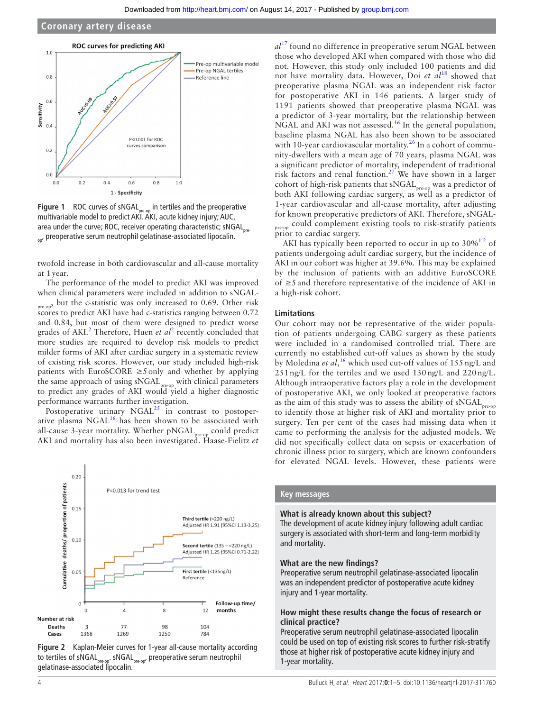

<span id="page-3-0"></span>**Figure 1** ROC curves of sNGAL<sub>pre-op</sub> in tertiles and the preoperative multivariable model to predict AKI. AKI, acute kidney injury; AUC, area under the curve; ROC, receiver operating characteristic; sNGAL $_{pre}$ on, preoperative serum neutrophil gelatinase-associated lipocalin.

twofold increase in both cardiovascular and all-cause mortality at 1year.

The performance of the model to predict AKI was improved when clinical parameters were included in addition to sNGAL-<sub>pre-op</sub>, but the c-statistic was only increased to 0.69. Other risk scores to predict AKI have had c-statistics ranging between 0.72 and 0.84, but most of them were designed to predict worse grades of AKI.<sup>[2](#page-4-6)</sup> Therefore, Huen *et al*<sup>2</sup> recently concluded that more studies are required to develop risk models to predict milder forms of AKI after cardiac surgery in a systematic review of existing risk scores. However, our study included high-risk patients with EuroSCORE  $\geq$ 5 only and whether by applying the same approach of using sNGAL<sub>pre-op</sub> with clinical parameters to predict any grades of AKI would yield a higher diagnostic performance warrants further investigation.

Postoperative urinary  $NGAL<sup>25</sup>$  in contrast to postoper-ative plasma NGAL<sup>[16](#page-4-12)</sup> has been shown to be associated with all-cause 3-year mortality. Whether pNGAL<sub>pre-op</sub> could predict AKI and mortality has also been investigated. Haase-Fielitz *et* 



<span id="page-3-1"></span>

*al*[17](#page-4-13) found no difference in preoperative serum NGAL between those who developed AKI when compared with those who did not. However, this study only included 100 patients and did not have mortality data. However, Doi *et al*[18](#page-4-19) showed that preoperative plasma NGAL was an independent risk factor for postoperative AKI in 146 patients. A larger study of 1191 patients showed that preoperative plasma NGAL was a predictor of 3-year mortality, but the relationship between NGAL and AKI was not assessed.<sup>16</sup> In the general population, baseline plasma NGAL has also been shown to be associated with 10-year cardiovascular mortality.<sup>[26](#page-4-20)</sup> In a cohort of community-dwellers with a mean age of 70 years, plasma NGAL was a significant predictor of mortality, independent of traditional risk factors and renal function.<sup>[27](#page-4-21)</sup> We have shown in a larger cohort of high-risk patients that  $sNGAL_{pre-op}$  was a predictor of both AKI following cardiac surgery, as well as a predictor of 1-year cardiovascular and all-cause mortality, after adjusting for known preoperative predictors of AKI. Therefore, sNGALpre-op could complement existing tools to risk-stratify patients prior to cardiac surgery.

AKI has typically been reported to occur in up to  $30\%^{12}$  of patients undergoing adult cardiac surgery, but the incidence of AKI in our cohort was higher at 39.6%. This may be explained by the inclusion of patients with an additive EuroSCORE of ≥5 and therefore representative of the incidence of AKI in a high-risk cohort.

#### **Limitations**

Our cohort may not be representative of the wider population of patients undergoing CABG surgery as these patients were included in a randomised controlled trial. There are currently no established cut-off values as shown by the study by Moledina *et al*, [16](#page-4-12) which used cut-off values of 155 ng/L and 251 ng/L for the tertiles and we used 130 ng/L and 220 ng/L. Although intraoperative factors play a role in the development of postoperative AKI, we only looked at preoperative factors as the aim of this study was to assess the ability of sNGAL<sub>pre-op</sub> to identify those at higher risk of AKI and mortality prior to surgery. Ten per cent of the cases had missing data when it came to performing the analysis for the adjusted models. We did not specifically collect data on sepsis or exacerbation of chronic illness prior to surgery, which are known confounders for elevated NGAL levels. However, these patients were

# **Key messages**

#### **What is already known about this subject?**

The development of acute kidney injury following adult cardiac surgery is associated with short-term and long-term morbidity and mortality.

#### **What are the new findings?**

Preoperative serum neutrophil gelatinase-associated lipocalin was an independent predictor of postoperative acute kidney injury and 1-year mortality.

#### **How might these results change the focus of research or clinical practice?**

Preoperative serum neutrophil gelatinase-associated lipocalin could be used on top of existing risk scores to further risk-stratify those at higher risk of postoperative acute kidney injury and 1-year mortality.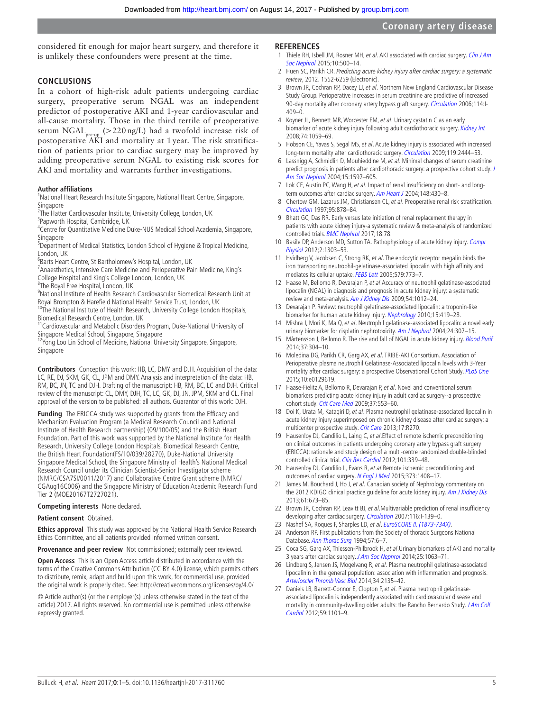considered fit enough for major heart surgery, and therefore it is unlikely these confounders were present at the time.

### **Conclusions**

In a cohort of high-risk adult patients undergoing cardiac surgery, preoperative serum NGAL was an independent predictor of postoperative AKI and 1-year cardiovascular and all-cause mortality. Those in the third tertile of preoperative serum  $NGAL_{pre, on}$  (>220 ng/L) had a twofold increase risk of postoperative AKI and mortality at 1 year. The risk stratification of patients prior to cardiac surgery may be improved by adding preoperative serum NGAL to existing risk scores for AKI and mortality and warrants further investigations.

#### **Author affiliations**

<sup>1</sup>National Heart Research Institute Singapore, National Heart Centre, Singapore, **Singapore** 

<sup>2</sup>The Hatter Cardiovascular Institute, University College, London, UK

<sup>3</sup>Papworth Hospital, Cambridge, UK

4 Centre for Quantitative Medicine Duke-NUS Medical School Academia, Singapore, **Singapore** 

<sup>5</sup>Department of Medical Statistics, London School of Hygiene & Tropical Medicine, London, UK

6 Barts Heart Centre, St Bartholomew's Hospital, London, UK

<sup>7</sup> Anaesthetics, Intensive Care Medicine and Perioperative Pain Medicine, King's

College Hospital and King's College London, London, UK

<sup>8</sup>The Royal Free Hospital, London, UK

9 National Institute of Health Research Cardiovascular Biomedical Research Unit at Royal Brompton & Harefield National Health Service Trust, London, UK <sup>10</sup>The National Institute of Health Research, University College London Hospitals,

Biomedical Research Centre, London, UK 11Cardiovascular and Metabolic Disorders Program, Duke-National University of

Singapore Medical School, Singapore, Singapore

<sup>12</sup>Yong Loo Lin School of Medicine, National University Singapore, Singapore, Singapore

**Contributors** Conception this work: HB, LC, DMY and DJH. Acquisition of the data: LC, RE, DJ, SKM, GK, CL, JPM and DMY. Analysis and interpretation of the data: HB, RM, BC, JN, TC and DJH. Drafting of the manuscript: HB, RM, BC, LC and DJH. Critical review of the manuscript: CL, DMY, DJH, TC, LC, GK, DJ, JN, JPM, SKM and CL. Final approval of the version to be published: all authors. Guarantor of this work: DJH.

**Funding** The ERICCA study was supported by grants from the Efficacy and Mechanism Evaluation Program (a Medical Research Council and National Institute of Health Research partnership) (09/100/05) and the British Heart Foundation. Part of this work was supported by the National Institute for Health Research, University College London Hospitals, Biomedical Research Centre, the British Heart Foundation(FS/10/039/28270), Duke-National University Singapore Medical School, the Singapore Ministry of Health's National Medical Research Council under its Clinician Scientist-Senior Investigator scheme (NMRC/CSA7SI/0011/2017) and Collaborative Centre Grant scheme (NMRC/ CGAug16C006) and the Singapore Ministry of Education Academic Research Fund Tier 2 (MOE20167T2727021).

**Competing interests** None declared.

**Patient consent** Obtained.

**Ethics approval** This study was approved by the National Health Service Research Ethics Committee, and all patients provided informed written consent.

**Provenance and peer review** Not commissioned; externally peer reviewed.

**Open Access** This is an Open Access article distributed in accordance with the terms of the Creative Commons Attribution (CC BY 4.0) license, which permits others to distribute, remix, adapt and build upon this work, for commercial use, provided the original work is properly cited. See: <http://creativecommons.org/licenses/by/4.0/>

© Article author(s) (or their employer(s) unless otherwise stated in the text of the article) 2017. All rights reserved. No commercial use is permitted unless otherwise expressly granted.

#### **References**

- <span id="page-4-0"></span>1 Thiele RH, Isbell JM, Rosner MH, et al. AKI associated with cardiac surgery. Clin J Am [Soc Nephrol](http://dx.doi.org/10.2215/CJN.07830814) 2015;10:500–14.
- <span id="page-4-6"></span>2 Huen SC, Parikh CR. Predicting acute kidney injury after cardiac surgery: a systematic review, 2012. 1552-6259 (Electronic).
- <span id="page-4-1"></span>3 Brown JR, Cochran RP, Dacey LJ, et al. Northern New England Cardiovascular Disease Study Group. Perioperative increases in serum creatinine are predictive of increased 90-day mortality after coronary artery bypass graft surgery. [Circulation](http://dx.doi.org/10.1161/CIRCULATIONAHA.105.000596) 2006;114:I-409–0.
- 4 Koyner JL, Bennett MR, Worcester EM, et al. Urinary cystatin C as an early biomarker of acute kidney injury following adult cardiothoracic surgery. [Kidney Int](http://dx.doi.org/10.1038/ki.2008.341) 2008;74:1059–69.
- 5 Hobson CE, Yavas S, Segal MS, et al. Acute kidney injury is associated with increased long-term mortality after cardiothoracic surgery. [Circulation](http://dx.doi.org/10.1161/CIRCULATIONAHA.108.800011) 2009;119:2444-53.
- <span id="page-4-2"></span>6 Lassnigg A, Schmidlin D, Mouhieddine M, et al. Minimal changes of serum creatinine predict prognosis in patients after cardiothoracic surgery: a prospective cohort study. [J](http://dx.doi.org/10.1097/01.ASN.0000130340.93930.DD)  [Am Soc Nephrol](http://dx.doi.org/10.1097/01.ASN.0000130340.93930.DD) 2004;15:1597–605.
- 7 Lok CE, Austin PC, Wang H, et al. Impact of renal insufficiency on short- and long-term outcomes after cardiac surgery. [Am Heart J](http://dx.doi.org/10.1016/j.ahj.2003.12.042) 2004;148:430-8.
- <span id="page-4-3"></span>8 Chertow GM, Lazarus JM, Christiansen CL, et al. Preoperative renal risk stratification. [Circulation](http://dx.doi.org/10.1161/01.CIR.95.4.878) 1997;95:878–84.
- <span id="page-4-4"></span>9 Bhatt GC, Das RR. Early versus late initiation of renal replacement therapy in patients with acute kidney injury-a systematic review & meta-analysis of randomized controlled trials. **[BMC Nephrol](http://dx.doi.org/10.1186/s12882-017-0486-9)** 2017;18:78.
- <span id="page-4-5"></span>10 Basile DP, Anderson MD, Sutton TA. Pathophysiology of acute kidney injury. Compr [Physiol](http://dx.doi.org/10.1002/cphy.c110041) 2012;2:1303–53.
- <span id="page-4-7"></span>11 Hvidberg V, Jacobsen C, Strong RK, et al. The endocytic receptor megalin binds the iron transporting neutrophil-gelatinase-associated lipocalin with high affinity and mediates its cellular uptake. [FEBS Lett](http://dx.doi.org/10.1016/j.febslet.2004.12.031) 2005;579:773-7.
- <span id="page-4-8"></span>12 Haase M, Bellomo R, Devarajan P, et al.Accuracy of neutrophil gelatinase-associated lipocalin (NGAL) in diagnosis and prognosis in acute kidney injury: a systematic review and meta-analysis. [Am J Kidney Dis](http://dx.doi.org/10.1053/j.ajkd.2009.07.020) 2009;54:1012–24.
- <span id="page-4-9"></span>13 Devarajan P. Review: neutrophil gelatinase-associated lipocalin: a troponin-like biomarker for human acute kidney injury. [Nephrology](http://dx.doi.org/10.1111/j.1440-1797.2010.01317.x) 2010;15:419–28.
- <span id="page-4-10"></span>14 Mishra J, Mori K, Ma Q, et al. Neutrophil gelatinase-associated lipocalin: a novel early urinary biomarker for cisplatin nephrotoxicity. [Am J Nephrol](http://dx.doi.org/10.1159/000078452) 2004;24:307-15.
- <span id="page-4-11"></span>15 Mårtensson J, Bellomo R. The rise and fall of NGAL in acute kidney injury. [Blood Purif](http://dx.doi.org/10.1159/000364937) 2014;37:304–10.
- <span id="page-4-12"></span>16 Moledina DG, Parikh CR, Garg AX, et al. TRIBE-AKI Consortium. Association of Perioperative plasma neutrophil Gelatinase-Associated lipocalin levels with 3-Year mortality after cardiac surgery: a prospective Observational Cohort Study. [PLoS One](http://dx.doi.org/10.1371/journal.pone.0129619) 2015;10:e0129619.
- <span id="page-4-13"></span>17 Haase-Fielitz A, Bellomo R, Devarajan P, et al. Novel and conventional serum biomarkers predicting acute kidney injury in adult cardiac surgery--a prospective cohort study. [Crit Care Med](http://dx.doi.org/10.1097/CCM.0b013e318195846e) 2009;37:553–60.
- <span id="page-4-19"></span>18 Doi K, Urata M, Katagiri D, et al. Plasma neutrophil gelatinase-associated lipocalin in acute kidney injury superimposed on chronic kidney disease after cardiac surgery: a multicenter prospective study. [Crit Care](http://dx.doi.org/10.1186/cc13104) 2013;17:R270.
- <span id="page-4-14"></span>19 Hausenloy DJ, Candilio L, Laing C, et al. Effect of remote ischemic preconditioning on clinical outcomes in patients undergoing coronary artery bypass graft surgery (ERICCA): rationale and study design of a multi-centre randomized double-blinded controlled clinical trial. [Clin Res Cardiol](http://dx.doi.org/10.1007/s00392-011-0397-x) 2012;101:339-48.
- 20 Hausenloy DJ, Candilio L, Evans R, et al.Remote ischemic preconditioning and outcomes of cardiac surgery. [N Engl J Med](http://dx.doi.org/10.1056/NEJMoa1413534) 2015;373:1408–17.
- <span id="page-4-15"></span>21 James M, Bouchard J, Ho J, et al. Canadian society of Nephrology commentary on the 2012 KDIGO clinical practice guideline for acute kidney injury. [Am J Kidney Dis](http://dx.doi.org/10.1053/j.ajkd.2013.02.350) 2013;61:673–85.
- 22 Brown JR, Cochran RP, Leavitt BJ, et al.Multivariable prediction of renal insufficiency developing after cardiac surgery. *[Circulation](http://dx.doi.org/10.1161/CIRCULATIONAHA.106.677070)* 2007;116:I-139-0.
- <span id="page-4-16"></span>23 Nashef SA, Roques F, Sharples LD, et al. EuroSCORE II. (1873-734X).
- <span id="page-4-17"></span>24 Anderson RP. First publications from the Society of thoracic Surgeons National Database. [Ann Thorac Surg](http://dx.doi.org/10.1016/0003-4975(94)90355-7) 1994;57:6-7.
- <span id="page-4-18"></span>25 Coca SG, Garg AX, Thiessen-Philbrook H, et al. Urinary biomarkers of AKI and mortality 3 years after cardiac surgery. [J Am Soc Nephrol](http://dx.doi.org/10.1681/ASN.2013070742) 2014;25:1063–71.
- <span id="page-4-20"></span>26 Lindberg S, Jensen JS, Mogelvang R, et al. Plasma neutrophil gelatinase-associated lipocalinin in the general population: association with inflammation and prognosis. [Arterioscler Thromb Vasc Biol](http://dx.doi.org/10.1161/ATVBAHA.114.303950) 2014;34:2135–42.
- <span id="page-4-21"></span>27 Daniels LB, Barrett-Connor E, Clopton P, et al. Plasma neutrophil gelatinaseassociated lipocalin is independently associated with cardiovascular disease and mortality in community-dwelling older adults: the Rancho Bernardo Study. JAm Coll [Cardiol](http://dx.doi.org/10.1016/j.jacc.2011.11.046) 2012;59:1101–9.